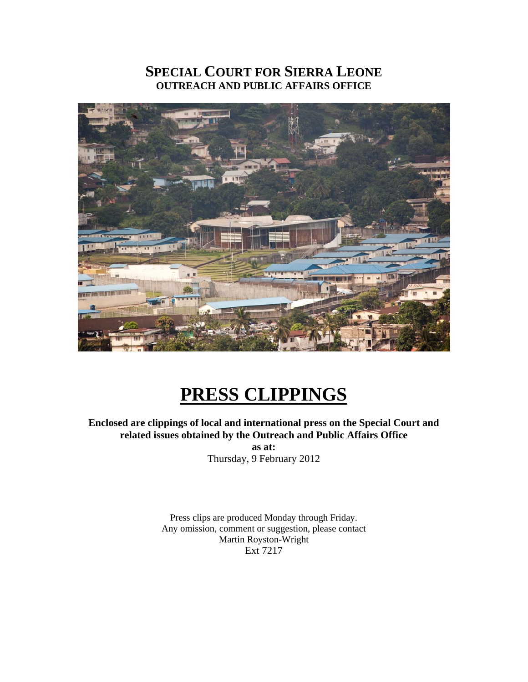### **SPECIAL COURT FOR SIERRA LEONE OUTREACH AND PUBLIC AFFAIRS OFFICE**



# **PRESS CLIPPINGS**

#### **Enclosed are clippings of local and international press on the Special Court and related issues obtained by the Outreach and Public Affairs Office as at:**

Thursday, 9 February 2012

Press clips are produced Monday through Friday. Any omission, comment or suggestion, please contact Martin Royston-Wright Ext 7217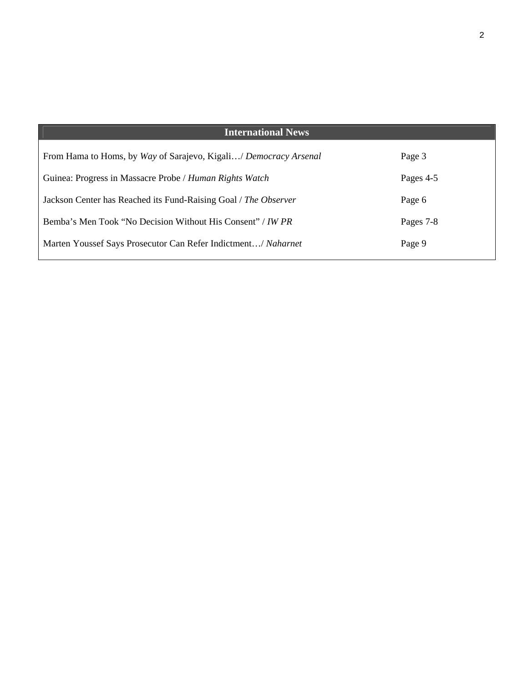| <b>International News</b>                                         |           |
|-------------------------------------------------------------------|-----------|
| From Hama to Homs, by Way of Sarajevo, Kigali/ Democracy Arsenal  | Page 3    |
| Guinea: Progress in Massacre Probe / Human Rights Watch           | Pages 4-5 |
| Jackson Center has Reached its Fund-Raising Goal / The Observer   | Page 6    |
| Bemba's Men Took "No Decision Without His Consent" / <i>IW PR</i> | Pages 7-8 |
| Marten Youssef Says Prosecutor Can Refer Indictment/ Naharnet     | Page 9    |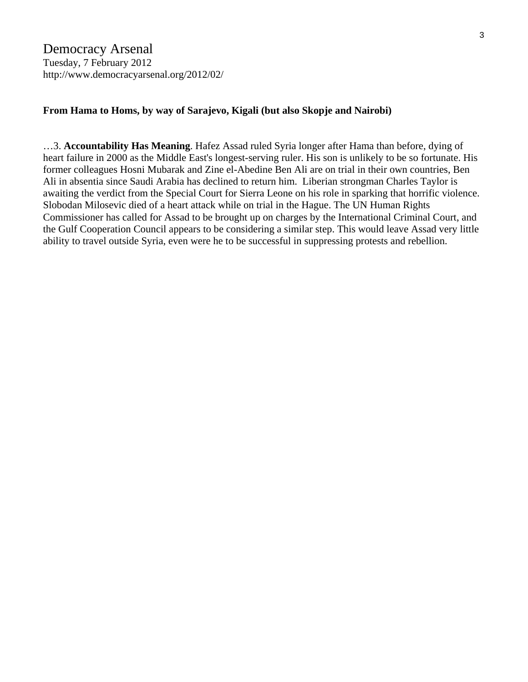#### **From Hama to Homs, by way of Sarajevo, Kigali (but also Skopje and Nairobi)**

…3. **Accountability Has Meaning**. Hafez Assad ruled Syria longer after Hama than before, dying of heart failure in 2000 as the Middle East's longest-serving ruler. His son is unlikely to be so fortunate. His former colleagues Hosni Mubarak and Zine el-Abedine Ben Ali are on trial in their own countries, Ben Ali in absentia since Saudi Arabia has declined to return him. Liberian strongman Charles Taylor is awaiting the verdict from the Special Court for Sierra Leone on his role in sparking that horrific violence. Slobodan Milosevic died of a heart attack while on trial in the Hague. The UN Human Rights Commissioner has called for Assad to be brought up on charges by the International Criminal Court, and the Gulf Cooperation Council appears to be considering a similar step. This would leave Assad very little ability to travel outside Syria, even were he to be successful in suppressing protests and rebellion.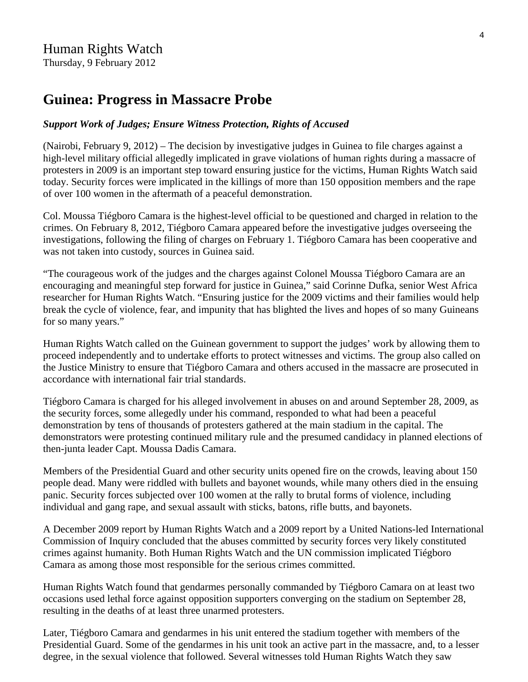## **Guinea: Progress in Massacre Probe**

#### *Support Work of Judges; Ensure Witness Protection, Rights of Accused*

(Nairobi, February 9, 2012) – The decision by investigative judges in Guinea to file charges against a high-level military official allegedly implicated in grave violations of human rights during a massacre of protesters in 2009 is an important step toward ensuring justice for the victims, Human Rights Watch said today. Security forces were implicated in the killings of more than 150 opposition members and the rape of over 100 women in the aftermath of a peaceful demonstration.

Col. Moussa Tiégboro Camara is the highest-level official to be questioned and charged in relation to the crimes. On February 8, 2012, Tiégboro Camara appeared before the investigative judges overseeing the investigations, following the filing of charges on February 1. Tiégboro Camara has been cooperative and was not taken into custody, sources in Guinea said.

"The courageous work of the judges and the charges against Colonel Moussa Tiégboro Camara are an encouraging and meaningful step forward for justice in Guinea," said Corinne Dufka, senior West Africa researcher for Human Rights Watch. "Ensuring justice for the 2009 victims and their families would help break the cycle of violence, fear, and impunity that has blighted the lives and hopes of so many Guineans for so many years."

Human Rights Watch called on the Guinean government to support the judges' work by allowing them to proceed independently and to undertake efforts to protect witnesses and victims. The group also called on the Justice Ministry to ensure that Tiégboro Camara and others accused in the massacre are prosecuted in accordance with international fair trial standards.

Tiégboro Camara is charged for his alleged involvement in abuses on and around September 28, 2009, as the security forces, some allegedly under his command, responded to what had been a peaceful demonstration by tens of thousands of protesters gathered at the main stadium in the capital. The demonstrators were protesting continued military rule and the presumed candidacy in planned elections of then-junta leader Capt. Moussa Dadis Camara.

Members of the Presidential Guard and other security units opened fire on the crowds, leaving about 150 people dead. Many were riddled with bullets and bayonet wounds, while many others died in the ensuing panic. Security forces subjected over 100 women at the rally to brutal forms of violence, including individual and gang rape, and sexual assault with sticks, batons, rifle butts, and bayonets.

A December 2009 report by Human Rights Watch and a 2009 report by a United Nations-led International Commission of Inquiry concluded that the abuses committed by security forces very likely constituted crimes against humanity. Both Human Rights Watch and the UN commission implicated Tiégboro Camara as among those most responsible for the serious crimes committed.

Human Rights Watch found that gendarmes personally commanded by Tiégboro Camara on at least two occasions used lethal force against opposition supporters converging on the stadium on September 28, resulting in the deaths of at least three unarmed protesters.

Later, Tiégboro Camara and gendarmes in his unit entered the stadium together with members of the Presidential Guard. Some of the gendarmes in his unit took an active part in the massacre, and, to a lesser degree, in the sexual violence that followed. Several witnesses told Human Rights Watch they saw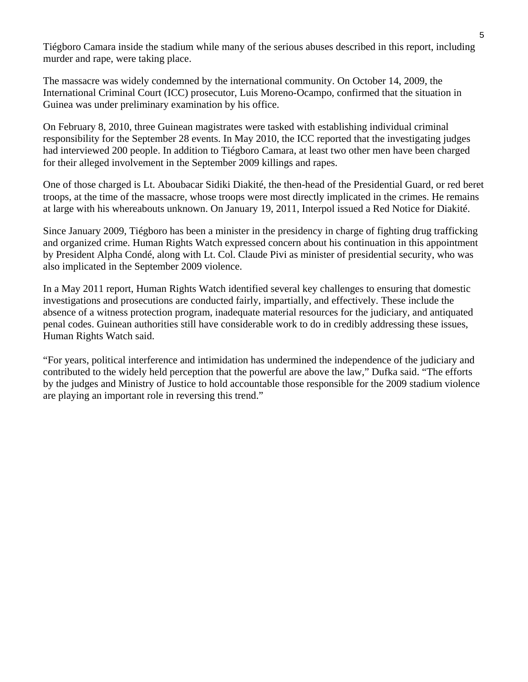Tiégboro Camara inside the stadium while many of the serious abuses described in this report, including murder and rape, were taking place.

The massacre was widely condemned by the international community. On October 14, 2009, the International Criminal Court (ICC) prosecutor, Luis Moreno-Ocampo, confirmed that the situation in Guinea was under preliminary examination by his office.

On February 8, 2010, three Guinean magistrates were tasked with establishing individual criminal responsibility for the September 28 events. In May 2010, the ICC reported that the investigating judges had interviewed 200 people. In addition to Tiégboro Camara, at least two other men have been charged for their alleged involvement in the September 2009 killings and rapes.

One of those charged is Lt. Aboubacar Sidiki Diakité, the then-head of the Presidential Guard, or red beret troops, at the time of the massacre, whose troops were most directly implicated in the crimes. He remains at large with his whereabouts unknown. On January 19, 2011, Interpol issued a Red Notice for Diakité.

Since January 2009, Tiégboro has been a minister in the presidency in charge of fighting drug trafficking and organized crime. Human Rights Watch expressed concern about his continuation in this appointment by President Alpha Condé, along with Lt. Col. Claude Pivi as minister of presidential security, who was also implicated in the September 2009 violence.

In a May 2011 report, Human Rights Watch identified several key challenges to ensuring that domestic investigations and prosecutions are conducted fairly, impartially, and effectively. These include the absence of a witness protection program, inadequate material resources for the judiciary, and antiquated penal codes. Guinean authorities still have considerable work to do in credibly addressing these issues, Human Rights Watch said.

"For years, political interference and intimidation has undermined the independence of the judiciary and contributed to the widely held perception that the powerful are above the law," Dufka said. "The efforts by the judges and Ministry of Justice to hold accountable those responsible for the 2009 stadium violence are playing an important role in reversing this trend."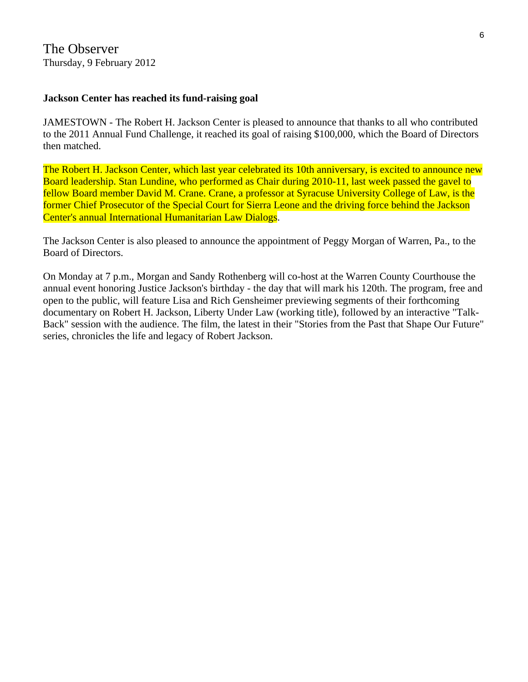#### **Jackson Center has reached its fund-raising goal**

JAMESTOWN - The Robert H. Jackson Center is pleased to announce that thanks to all who contributed to the 2011 Annual Fund Challenge, it reached its goal of raising \$100,000, which the Board of Directors then matched.

The Robert H. Jackson Center, which last year celebrated its 10th anniversary, is excited to announce new Board leadership. Stan Lundine, who performed as Chair during 2010-11, last week passed the gavel to fellow Board member David M. Crane. Crane, a professor at Syracuse University College of Law, is the former Chief Prosecutor of the Special Court for Sierra Leone and the driving force behind the Jackson Center's annual International Humanitarian Law Dialogs.

The Jackson Center is also pleased to announce the appointment of Peggy Morgan of Warren, Pa., to the Board of Directors.

On Monday at 7 p.m., Morgan and Sandy Rothenberg will co-host at the Warren County Courthouse the annual event honoring Justice Jackson's birthday - the day that will mark his 120th. The program, free and open to the public, will feature Lisa and Rich Gensheimer previewing segments of their forthcoming documentary on Robert H. Jackson, Liberty Under Law (working title), followed by an interactive "Talk-Back" session with the audience. The film, the latest in their "Stories from the Past that Shape Our Future" series, chronicles the life and legacy of Robert Jackson.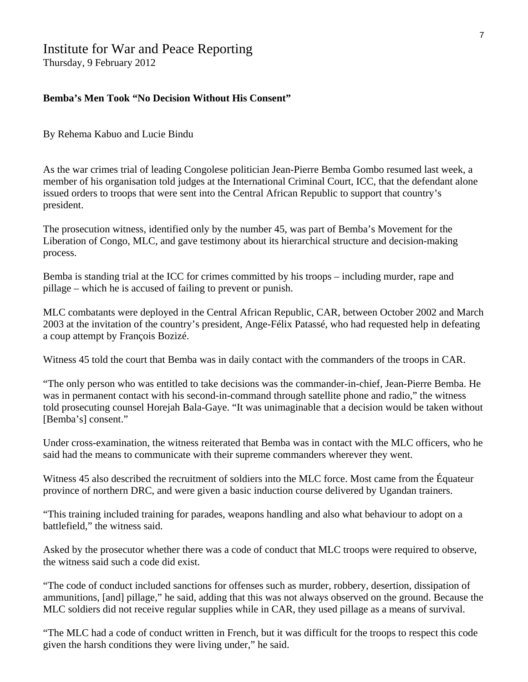#### Institute for War and Peace Reporting

Thursday, 9 February 2012

#### **Bemba's Men Took "No Decision Without His Consent"**

By Rehema Kabuo and Lucie Bindu

As the war crimes trial of leading Congolese politician Jean-Pierre Bemba Gombo resumed last week, a member of his organisation told judges at the International Criminal Court, ICC, that the defendant alone issued orders to troops that were sent into the Central African Republic to support that country's president.

The prosecution witness, identified only by the number 45, was part of Bemba's Movement for the Liberation of Congo, MLC, and gave testimony about its hierarchical structure and decision-making process.

Bemba is standing trial at the ICC for crimes committed by his troops – including murder, rape and pillage – which he is accused of failing to prevent or punish.

MLC combatants were deployed in the Central African Republic, CAR, between October 2002 and March 2003 at the invitation of the country's president, Ange-Félix Patassé, who had requested help in defeating a coup attempt by François Bozizé.

Witness 45 told the court that Bemba was in daily contact with the commanders of the troops in CAR.

"The only person who was entitled to take decisions was the commander-in-chief, Jean-Pierre Bemba. He was in permanent contact with his second-in-command through satellite phone and radio," the witness told prosecuting counsel Horejah Bala-Gaye. "It was unimaginable that a decision would be taken without [Bemba's] consent."

Under cross-examination, the witness reiterated that Bemba was in contact with the MLC officers, who he said had the means to communicate with their supreme commanders wherever they went.

Witness 45 also described the recruitment of soldiers into the MLC force. Most came from the Équateur province of northern DRC, and were given a basic induction course delivered by Ugandan trainers.

"This training included training for parades, weapons handling and also what behaviour to adopt on a battlefield," the witness said.

Asked by the prosecutor whether there was a code of conduct that MLC troops were required to observe, the witness said such a code did exist.

"The code of conduct included sanctions for offenses such as murder, robbery, desertion, dissipation of ammunitions, [and] pillage," he said, adding that this was not always observed on the ground. Because the MLC soldiers did not receive regular supplies while in CAR, they used pillage as a means of survival.

"The MLC had a code of conduct written in French, but it was difficult for the troops to respect this code given the harsh conditions they were living under," he said.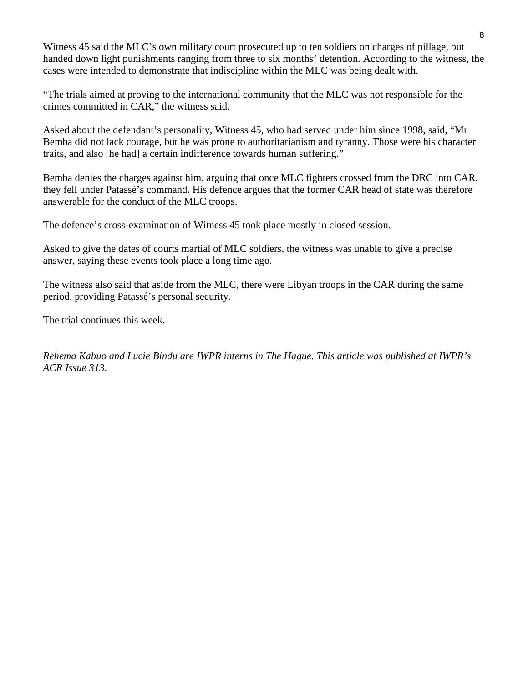Witness 45 said the MLC's own military court prosecuted up to ten soldiers on charges of pillage, but handed down light punishments ranging from three to six months' detention. According to the witness, the cases were intended to demonstrate that indiscipline within the MLC was being dealt with.

"The trials aimed at proving to the international community that the MLC was not responsible for the crimes committed in CAR," the witness said.

Asked about the defendant's personality, Witness 45, who had served under him since 1998, said, "Mr Bemba did not lack courage, but he was prone to authoritarianism and tyranny. Those were his character traits, and also [he had] a certain indifference towards human suffering."

Bemba denies the charges against him, arguing that once MLC fighters crossed from the DRC into CAR, they fell under Patassé's command. His defence argues that the former CAR head of state was therefore answerable for the conduct of the MLC troops.

The defence's cross-examination of Witness 45 took place mostly in closed session.

Asked to give the dates of courts martial of MLC soldiers, the witness was unable to give a precise answer, saying these events took place a long time ago.

The witness also said that aside from the MLC, there were Libyan troops in the CAR during the same period, providing Patassé's personal security.

The trial continues this week.

*Rehema Kabuo and Lucie Bindu are IWPR interns in The Hague. This article was published at IWPR's ACR Issue 313.*